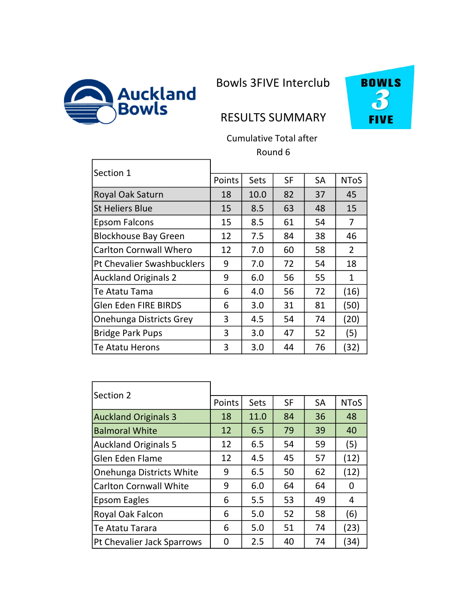

ŗ

Bowls 3FIVE Interclub



## RESULTS SUMMARY

Cumulative Total after Round 6

| Section 1                     |        |      |           |           |             |
|-------------------------------|--------|------|-----------|-----------|-------------|
|                               | Points | Sets | <b>SF</b> | <b>SA</b> | <b>NToS</b> |
| Royal Oak Saturn              | 18     | 10.0 | 82        | 37        | 45          |
| <b>St Heliers Blue</b>        | 15     | 8.5  | 63        | 48        | 15          |
| Epsom Falcons                 | 15     | 8.5  | 61        | 54        | 7           |
| <b>Blockhouse Bay Green</b>   | 12     | 7.5  | 84        | 38        | 46          |
| <b>Carlton Cornwall Whero</b> | 12     | 7.0  | 60        | 58        | 2           |
| Pt Chevalier Swashbucklers    | 9      | 7.0  | 72        | 54        | 18          |
| <b>Auckland Originals 2</b>   | 9      | 6.0  | 56        | 55        | 1           |
| Te Atatu Tama                 | 6      | 4.0  | 56        | 72        | (16)        |
| <b>Glen Eden FIRE BIRDS</b>   | 6      | 3.0  | 31        | 81        | (50)        |
| Onehunga Districts Grey       | 3      | 4.5  | 54        | 74        | (20)        |
| <b>Bridge Park Pups</b>       | 3      | 3.0  | 47        | 52        | (5)         |
| Te Atatu Herons               | 3      | 3.0  | 44        | 76        | (32)        |

| Section 2                     |        |      |           |           |             |
|-------------------------------|--------|------|-----------|-----------|-------------|
|                               | Points | Sets | <b>SF</b> | <b>SA</b> | <b>NToS</b> |
| <b>Auckland Originals 3</b>   | 18     | 11.0 | 84        | 36        | 48          |
| <b>Balmoral White</b>         | 12     | 6.5  | 79        | 39        | 40          |
| <b>Auckland Originals 5</b>   | 12     | 6.5  | 54        | 59        | (5)         |
| Glen Eden Flame               | 12     | 4.5  | 45        | 57        | (12)        |
| Onehunga Districts White      | 9      | 6.5  | 50        | 62        | (12)        |
| <b>Carlton Cornwall White</b> | 9      | 6.0  | 64        | 64        | 0           |
| Epsom Eagles                  | 6      | 5.5  | 53        | 49        | 4           |
| Royal Oak Falcon              | 6      | 5.0  | 52        | 58        | (6)         |
| Te Atatu Tarara               | 6      | 5.0  | 51        | 74        | (23)        |
| Pt Chevalier Jack Sparrows    | 0      | 2.5  | 40        | 74        | (34)        |